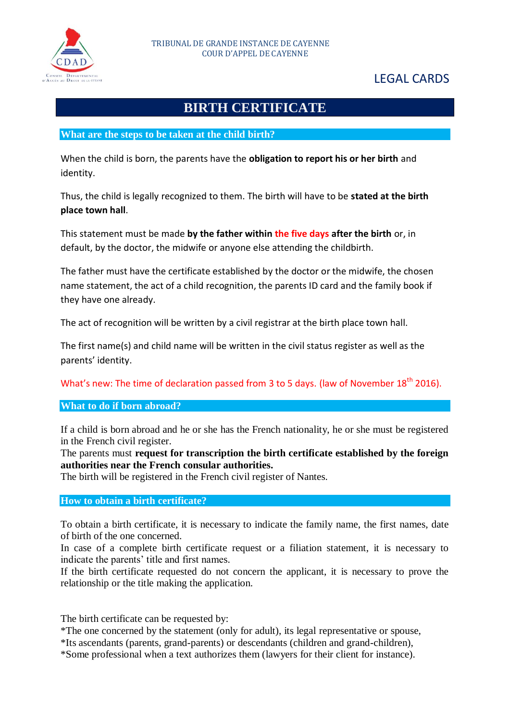

# LEGAL CARDS

# **BIRTH CERTIFICATE**

## **What are the steps to be taken at the child birth?**

When the child is born, the parents have the **obligation to report his or her birth** and identity.

Thus, the child is legally recognized to them. The birth will have to be **stated at the birth place town hall**.

This statement must be made **by the father within the five days after the birth** or, in default, by the doctor, the midwife or anyone else attending the childbirth.

The father must have the certificate established by the doctor or the midwife, the chosen name statement, the act of a child recognition, the parents ID card and the family book if they have one already.

The act of recognition will be written by a civil registrar at the birth place town hall.

The first name(s) and child name will be written in the civil status register as well as the parents' identity.

What's new: The time of declaration passed from 3 to 5 days. (law of November 18<sup>th</sup> 2016).

### **What to do if born abroad?**

If a child is born abroad and he or she has the French nationality, he or she must be registered in the French civil register.

The parents must **request for transcription the birth certificate established by the foreign authorities near the French consular authorities.**

The birth will be registered in the French civil register of Nantes.

#### **How to obtain a birth certificate?**

To obtain a birth certificate, it is necessary to indicate the family name, the first names, date of birth of the one concerned.

In case of a complete birth certificate request or a filiation statement, it is necessary to indicate the parents' title and first names.

If the birth certificate requested do not concern the applicant, it is necessary to prove the relationship or the title making the application.

The birth certificate can be requested by:

\*The one concerned by the statement (only for adult), its legal representative or spouse,

\*Its ascendants (parents, grand-parents) or descendants (children and grand-children),

\*Some professional when a text authorizes them (lawyers for their client for instance).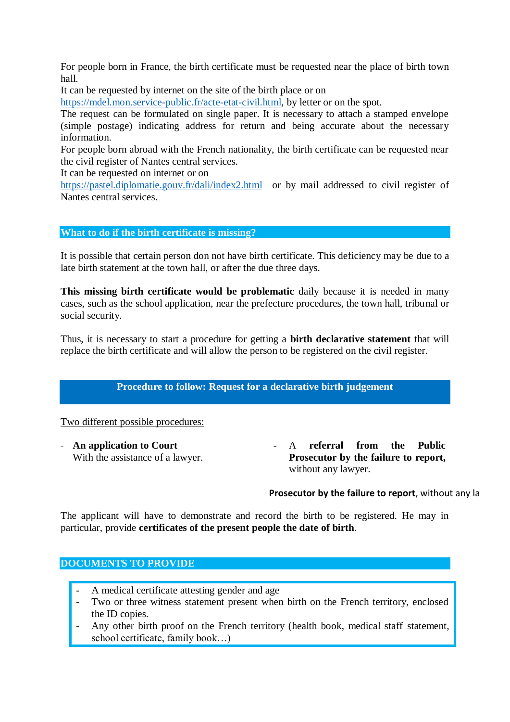For people born in France, the birth certificate must be requested near the place of birth town hall.

It can be requested by internet on the site of the birth place or on

[https://mdel.mon.service-public.fr/acte-etat-civil.html,](https://mdel.mon.service-public.fr/acte-etat-civil.html) by letter or on the spot.

The request can be formulated on single paper. It is necessary to attach a stamped envelope (simple postage) indicating address for return and being accurate about the necessary information.

For people born abroad with the French nationality, the birth certificate can be requested near the civil register of Nantes central services.

It can be requested on internet or on

<https://pastel.diplomatie.gouv.fr/dali/index2.html>or by mail addressed to civil register of Nantes central services.

## **What to do if the birth certificate is missing?**

It is possible that certain person don not have birth certificate. This deficiency may be due to a late birth statement at the town hall, or after the due three days.

**This missing birth certificate would be problematic** daily because it is needed in many cases, such as the school application, near the prefecture procedures, the town hall, tribunal or social security.

Thus, it is necessary to start a procedure for getting a **birth declarative statement** that will replace the birth certificate and will allow the person to be registered on the civil register.

# **Procedure to follow: Request for a declarative birth judgement**

Two different possible procedures:

With the assistance of a lawyer.

- **An application to Court - A referral from the Public** referral from **Prosecutor by the failure to report,**  without any lawyer.

### **Prosecutor by the failure to report**, without any la

The applicant will have to demonstrate and record the birth to be registered. He may in particular, provide **certificates of the present people the date of birth**.

### **DOCUMENTS TO PROVIDE**

- A medical certificate attesting gender and age
- Two or three witness statement present when birth on the French territory, enclosed the ID copies.
- Any other birth proof on the French territory (health book, medical staff statement, school certificate, family book…)